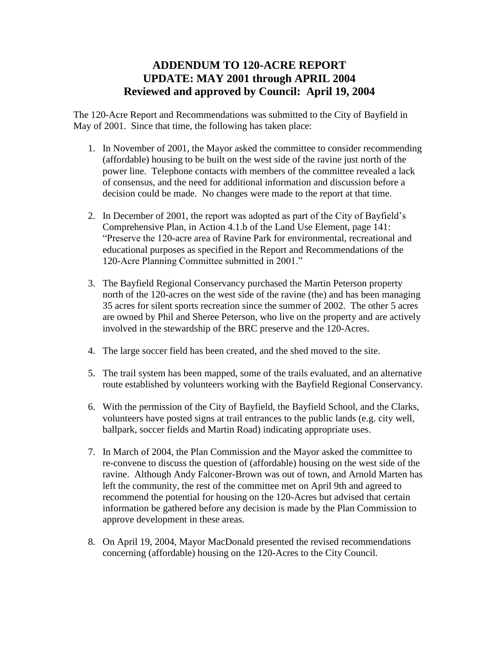## **ADDENDUM TO 120-ACRE REPORT UPDATE: MAY 2001 through APRIL 2004 Reviewed and approved by Council: April 19, 2004**

The 120-Acre Report and Recommendations was submitted to the City of Bayfield in May of 2001. Since that time, the following has taken place:

- 1. In November of 2001, the Mayor asked the committee to consider recommending (affordable) housing to be built on the west side of the ravine just north of the power line. Telephone contacts with members of the committee revealed a lack of consensus, and the need for additional information and discussion before a decision could be made. No changes were made to the report at that time.
- 2. In December of 2001, the report was adopted as part of the City of Bayfield's Comprehensive Plan, in Action 4.1.b of the Land Use Element, page 141: "Preserve the 120-acre area of Ravine Park for environmental, recreational and educational purposes as specified in the Report and Recommendations of the 120-Acre Planning Committee submitted in 2001."
- 3. The Bayfield Regional Conservancy purchased the Martin Peterson property north of the 120-acres on the west side of the ravine (the) and has been managing 35 acres for silent sports recreation since the summer of 2002. The other 5 acres are owned by Phil and Sheree Peterson, who live on the property and are actively involved in the stewardship of the BRC preserve and the 120-Acres.
- 4. The large soccer field has been created, and the shed moved to the site.
- 5. The trail system has been mapped, some of the trails evaluated, and an alternative route established by volunteers working with the Bayfield Regional Conservancy.
- 6. With the permission of the City of Bayfield, the Bayfield School, and the Clarks, volunteers have posted signs at trail entrances to the public lands (e.g. city well, ballpark, soccer fields and Martin Road) indicating appropriate uses.
- 7. In March of 2004, the Plan Commission and the Mayor asked the committee to re-convene to discuss the question of (affordable) housing on the west side of the ravine. Although Andy Falconer-Brown was out of town, and Arnold Marten has left the community, the rest of the committee met on April 9th and agreed to recommend the potential for housing on the 120-Acres but advised that certain information be gathered before any decision is made by the Plan Commission to approve development in these areas.
- 8. On April 19, 2004, Mayor MacDonald presented the revised recommendations concerning (affordable) housing on the 120-Acres to the City Council.